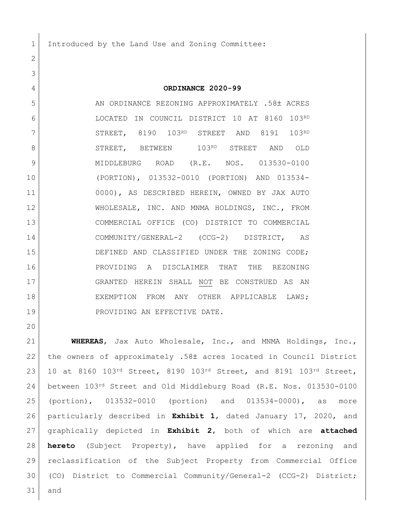1 Introduced by the Land Use and Zoning Committee:

**ORDINANCE 2020-99**

5 AN ORDINANCE REZONING APPROXIMATELY .58± ACRES LOCATED IN COUNCIL DISTRICT 10 AT 8160 103RD 7 STREET, 8190 103RD STREET AND 8191 103RD 8 STREET, BETWEEN 103RD STREET AND OLD MIDDLEBURG ROAD (R.E. NOS. 013530-0100 (PORTION), 013532-0010 (PORTION) AND 013534- 0000), AS DESCRIBED HEREIN, OWNED BY JAX AUTO WHOLESALE, INC. AND MNMA HOLDINGS, INC., FROM COMMERCIAL OFFICE (CO) DISTRICT TO COMMERCIAL COMMUNITY/GENERAL-2 (CCG-2) DISTRICT, AS 15 DEFINED AND CLASSIFIED UNDER THE ZONING CODE; PROVIDING A DISCLAIMER THAT THE REZONING GRANTED HEREIN SHALL NOT BE CONSTRUED AS AN EXEMPTION FROM ANY OTHER APPLICABLE LAWS; 19 PROVIDING AN EFFECTIVE DATE.

 **WHEREAS**, Jax Auto Wholesale, Inc., and MNMA Holdings, Inc., 22 the owners of approximately .58± acres located in Council District 23 10 at 8160 103<sup>rd</sup> Street, 8190 103<sup>rd</sup> Street, and 8191 103<sup>rd</sup> Street, between 103rd Street and Old Middleburg Road (R.E. Nos. 013530-0100 (portion), 013532-0010 (portion) and 013534-0000), as more particularly described in **Exhibit 1**, dated January 17, 2020, and graphically depicted in **Exhibit 2**, both of which are **attached hereto** (Subject Property), have applied for a rezoning and reclassification of the Subject Property from Commercial Office (CO) District to Commercial Community/General-2 (CCG-2) District; and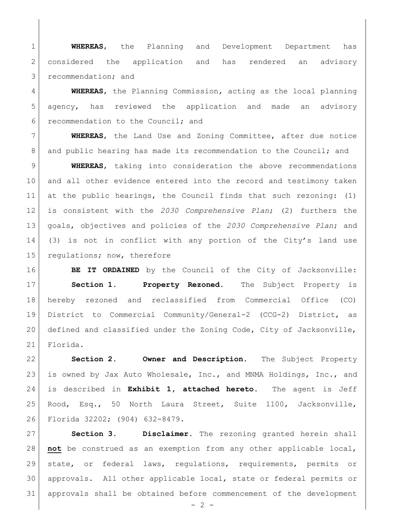**WHEREAS**, the Planning and Development Department has 2 considered the application and has rendered an advisory 3 recommendation; and

 **WHEREAS**, the Planning Commission, acting as the local planning agency, has reviewed the application and made an advisory recommendation to the Council; and

 **WHEREAS**, the Land Use and Zoning Committee, after due notice 8 and public hearing has made its recommendation to the Council; and

 **WHEREAS**, taking into consideration the above recommendations and all other evidence entered into the record and testimony taken at the public hearings, the Council finds that such rezoning: (1) is consistent with the *2030 Comprehensive Plan*; (2) furthers the goals, objectives and policies of the *2030 Comprehensive Plan*; and (3) is not in conflict with any portion of the City's land use 15 regulations; now, therefore

**BE IT ORDAINED** by the Council of the City of Jacksonville: **Section 1. Property Rezoned.** The Subject Property is hereby rezoned and reclassified from Commercial Office (CO) District to Commercial Community/General-2 (CCG-2) District, as defined and classified under the Zoning Code, City of Jacksonville, Florida.

 **Section 2. Owner and Description.** The Subject Property 23 is owned by Jax Auto Wholesale, Inc., and MNMA Holdings, Inc., and is described in **Exhibit 1, attached hereto.** The agent is Jeff Rood, Esq., 50 North Laura Street, Suite 1100, Jacksonville, Florida 32202; (904) 632-8479.

 **Section 3. Disclaimer.** The rezoning granted herein shall **not** be construed as an exemption from any other applicable local, state, or federal laws, regulations, requirements, permits or approvals. All other applicable local, state or federal permits or approvals shall be obtained before commencement of the development

 $- 2 -$